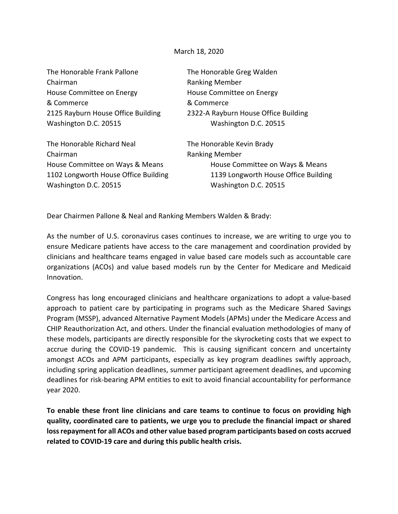March 18, 2020

| The Honorable Greg Walden            |
|--------------------------------------|
| <b>Ranking Member</b>                |
| House Committee on Energy            |
| & Commerce                           |
| 2322-A Rayburn House Office Building |
| Washington D.C. 20515                |
| The Honorable Kevin Brady            |
| <b>Ranking Member</b>                |
| House Committee on Ways & Means      |
| 1139 Longworth House Office Building |
| Washington D.C. 20515                |
|                                      |

Dear Chairmen Pallone & Neal and Ranking Members Walden & Brady:

As the number of U.S. coronavirus cases continues to increase, we are writing to urge you to ensure Medicare patients have access to the care management and coordination provided by clinicians and healthcare teams engaged in value based care models such as accountable care organizations (ACOs) and value based models run by the Center for Medicare and Medicaid Innovation.

Congress has long encouraged clinicians and healthcare organizations to adopt a value-based approach to patient care by participating in programs such as the Medicare Shared Savings Program (MSSP), advanced Alternative Payment Models (APMs) under the Medicare Access and CHIP Reauthorization Act, and others. Under the financial evaluation methodologies of many of these models, participants are directly responsible for the skyrocketing costs that we expect to accrue during the COVID-19 pandemic. This is causing significant concern and uncertainty amongst ACOs and APM participants, especially as key program deadlines swiftly approach, including spring application deadlines, summer participant agreement deadlines, and upcoming deadlines for risk-bearing APM entities to exit to avoid financial accountability for performance year 2020.

**To enable these front line clinicians and care teams to continue to focus on providing high quality, coordinated care to patients, we urge you to preclude the financial impact or shared loss repayment for all ACOs and other value based program participants based on costs accrued related to COVID-19 care and during this public health crisis.**